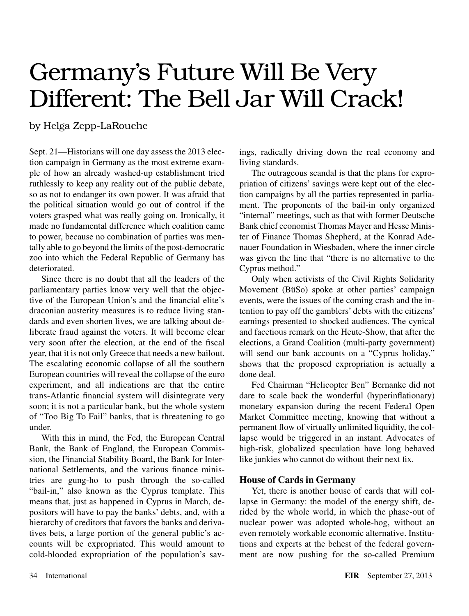## Germany's Future Will Be Very Different: The Bell Jar Will Crack!

## by Helga Zepp-LaRouche

Sept. 21—Historians will one day assess the 2013 election campaign in Germany as the most extreme example of how an already washed-up establishment tried ruthlessly to keep any reality out of the public debate, so as not to endanger its own power. It was afraid that the political situation would go out of control if the voters grasped what was really going on. Ironically, it made no fundamental difference which coalition came to power, because no combination of parties was mentally able to go beyond the limits of the post-democratic zoo into which the Federal Republic of Germany has deteriorated.

Since there is no doubt that all the leaders of the parliamentary parties know very well that the objective of the European Union's and the financial elite's draconian austerity measures is to reduce living standards and even shorten lives, we are talking about deliberate fraud against the voters. It will become clear very soon after the election, at the end of the fiscal year, that it is not only Greece that needs a new bailout. The escalating economic collapse of all the southern European countries will reveal the collapse of the euro experiment, and all indications are that the entire trans-Atlantic financial system will disintegrate very soon; it is not a particular bank, but the whole system of "Too Big To Fail" banks, that is threatening to go under.

With this in mind, the Fed, the European Central Bank, the Bank of England, the European Commission, the Financial Stability Board, the Bank for International Settlements, and the various finance ministries are gung-ho to push through the so-called "bail-in," also known as the Cyprus template. This means that, just as happened in Cyprus in March, depositors will have to pay the banks' debts, and, with a hierarchy of creditors that favors the banks and derivatives bets, a large portion of the general public's accounts will be expropriated. This would amount to cold-blooded expropriation of the population's savings, radically driving down the real economy and living standards.

The outrageous scandal is that the plans for expropriation of citizens' savings were kept out of the election campaigns by all the parties represented in parliament. The proponents of the bail-in only organized "internal" meetings, such as that with former Deutsche Bank chief economist Thomas Mayer and Hesse Minister of Finance Thomas Shepherd, at the Konrad Adenauer Foundation in Wiesbaden, where the inner circle was given the line that "there is no alternative to the Cyprus method."

Only when activists of the Civil Rights Solidarity Movement (BüSo) spoke at other parties' campaign events, were the issues of the coming crash and the intention to pay off the gamblers' debts with the citizens' earnings presented to shocked audiences. The cynical and facetious remark on the Heute-Show, that after the elections, a Grand Coalition (multi-party government) will send our bank accounts on a "Cyprus holiday," shows that the proposed expropriation is actually a done deal.

Fed Chairman "Helicopter Ben" Bernanke did not dare to scale back the wonderful (hyperinflationary) monetary expansion during the recent Federal Open Market Committee meeting, knowing that without a permanent flow of virtually unlimited liquidity, the collapse would be triggered in an instant. Advocates of high-risk, globalized speculation have long behaved like junkies who cannot do without their next fix.

## **House of Cards in Germany**

Yet, there is another house of cards that will collapse in Germany: the model of the energy shift, derided by the whole world, in which the phase-out of nuclear power was adopted whole-hog, without an even remotely workable economic alternative. Institutions and experts at the behest of the federal government are now pushing for the so-called Premium